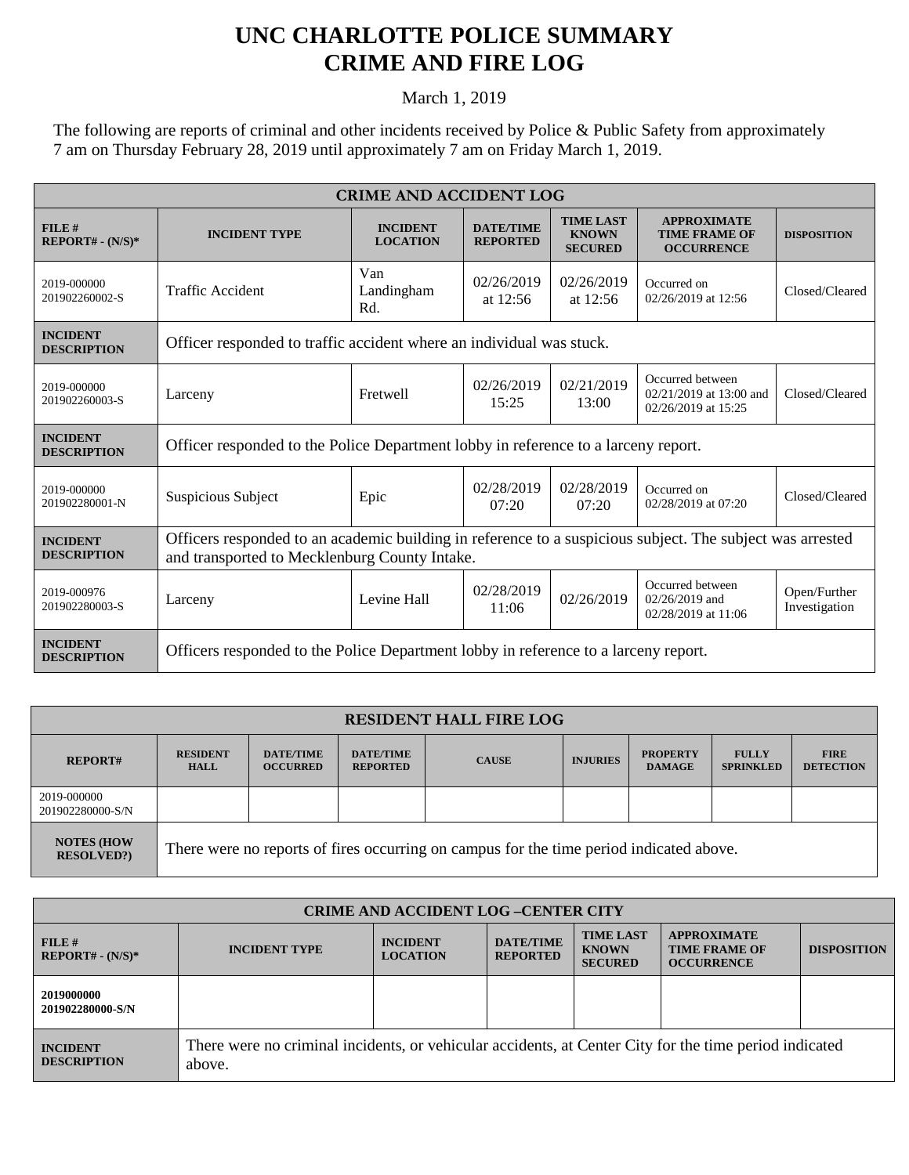## **UNC CHARLOTTE POLICE SUMMARY CRIME AND FIRE LOG**

March 1, 2019

The following are reports of criminal and other incidents received by Police & Public Safety from approximately 7 am on Thursday February 28, 2019 until approximately 7 am on Friday March 1, 2019.

| <b>CRIME AND ACCIDENT LOG</b>         |                                                                                                                                                            |                                    |                                     |                                                    |                                                                      |                               |  |
|---------------------------------------|------------------------------------------------------------------------------------------------------------------------------------------------------------|------------------------------------|-------------------------------------|----------------------------------------------------|----------------------------------------------------------------------|-------------------------------|--|
| FILE#<br>$REPORT# - (N/S)*$           | <b>INCIDENT TYPE</b>                                                                                                                                       | <b>INCIDENT</b><br><b>LOCATION</b> | <b>DATE/TIME</b><br><b>REPORTED</b> | <b>TIME LAST</b><br><b>KNOWN</b><br><b>SECURED</b> | <b>APPROXIMATE</b><br><b>TIME FRAME OF</b><br><b>OCCURRENCE</b>      | <b>DISPOSITION</b>            |  |
| 2019-000000<br>201902260002-S         | <b>Traffic Accident</b>                                                                                                                                    | Van<br>Landingham<br>Rd.           | 02/26/2019<br>at $12:56$            | 02/26/2019<br>at $12:56$                           | Occurred on<br>02/26/2019 at 12:56                                   | Closed/Cleared                |  |
| <b>INCIDENT</b><br><b>DESCRIPTION</b> | Officer responded to traffic accident where an individual was stuck.                                                                                       |                                    |                                     |                                                    |                                                                      |                               |  |
| 2019-000000<br>201902260003-S         | Larceny                                                                                                                                                    | <b>Fretwell</b>                    | 02/26/2019<br>15:25                 | 02/21/2019<br>13:00                                | Occurred between<br>$02/21/2019$ at 13:00 and<br>02/26/2019 at 15:25 | Closed/Cleared                |  |
| <b>INCIDENT</b><br><b>DESCRIPTION</b> | Officer responded to the Police Department lobby in reference to a larceny report.                                                                         |                                    |                                     |                                                    |                                                                      |                               |  |
| 2019-000000<br>201902280001-N         | Suspicious Subject                                                                                                                                         | Epic                               | 02/28/2019<br>07:20                 | 02/28/2019<br>07:20                                | Occurred on<br>02/28/2019 at 07:20                                   | Closed/Cleared                |  |
| <b>INCIDENT</b><br><b>DESCRIPTION</b> | Officers responded to an academic building in reference to a suspicious subject. The subject was arrested<br>and transported to Mecklenburg County Intake. |                                    |                                     |                                                    |                                                                      |                               |  |
| 2019-000976<br>201902280003-S         | Larceny                                                                                                                                                    | Levine Hall                        | 02/28/2019<br>11:06                 | 02/26/2019                                         | Occurred between<br>02/26/2019 and<br>02/28/2019 at 11:06            | Open/Further<br>Investigation |  |
| <b>INCIDENT</b><br><b>DESCRIPTION</b> | Officers responded to the Police Department lobby in reference to a larceny report.                                                                        |                                    |                                     |                                                    |                                                                      |                               |  |

| <b>RESIDENT HALL FIRE LOG</b>         |                                                                                         |                                     |                                     |              |                 |                                  |                                  |                                 |
|---------------------------------------|-----------------------------------------------------------------------------------------|-------------------------------------|-------------------------------------|--------------|-----------------|----------------------------------|----------------------------------|---------------------------------|
| <b>REPORT#</b>                        | <b>RESIDENT</b><br><b>HALL</b>                                                          | <b>DATE/TIME</b><br><b>OCCURRED</b> | <b>DATE/TIME</b><br><b>REPORTED</b> | <b>CAUSE</b> | <b>INJURIES</b> | <b>PROPERTY</b><br><b>DAMAGE</b> | <b>FULLY</b><br><b>SPRINKLED</b> | <b>FIRE</b><br><b>DETECTION</b> |
| 2019-000000<br>201902280000-S/N       |                                                                                         |                                     |                                     |              |                 |                                  |                                  |                                 |
| <b>NOTES (HOW</b><br><b>RESOLVED?</b> | There were no reports of fires occurring on campus for the time period indicated above. |                                     |                                     |              |                 |                                  |                                  |                                 |

| <b>CRIME AND ACCIDENT LOG-CENTER CITY</b> |                                                                                                                  |                                    |                                     |                                                    |                                                                 |                    |
|-------------------------------------------|------------------------------------------------------------------------------------------------------------------|------------------------------------|-------------------------------------|----------------------------------------------------|-----------------------------------------------------------------|--------------------|
| FILE#<br>$REPORT# - (N/S)*$               | <b>INCIDENT TYPE</b>                                                                                             | <b>INCIDENT</b><br><b>LOCATION</b> | <b>DATE/TIME</b><br><b>REPORTED</b> | <b>TIME LAST</b><br><b>KNOWN</b><br><b>SECURED</b> | <b>APPROXIMATE</b><br><b>TIME FRAME OF</b><br><b>OCCURRENCE</b> | <b>DISPOSITION</b> |
| 2019000000<br>201902280000-S/N            |                                                                                                                  |                                    |                                     |                                                    |                                                                 |                    |
| <b>INCIDENT</b><br><b>DESCRIPTION</b>     | There were no criminal incidents, or vehicular accidents, at Center City for the time period indicated<br>above. |                                    |                                     |                                                    |                                                                 |                    |